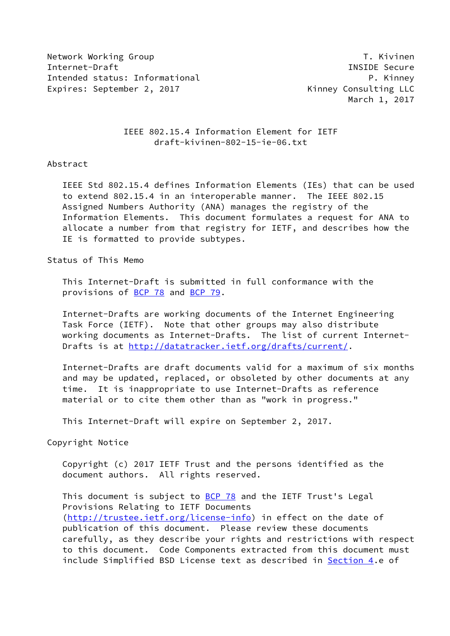Network Working Group T. Kivinen Internet-Draft INSIDE Secure Intended status: Informational P. Kinney Expires: September 2, 2017 The State of Kinney Consulting LLC

March 1, 2017

 IEEE 802.15.4 Information Element for IETF draft-kivinen-802-15-ie-06.txt

## Abstract

 IEEE Std 802.15.4 defines Information Elements (IEs) that can be used to extend 802.15.4 in an interoperable manner. The IEEE 802.15 Assigned Numbers Authority (ANA) manages the registry of the Information Elements. This document formulates a request for ANA to allocate a number from that registry for IETF, and describes how the IE is formatted to provide subtypes.

Status of This Memo

 This Internet-Draft is submitted in full conformance with the provisions of [BCP 78](https://datatracker.ietf.org/doc/pdf/bcp78) and [BCP 79](https://datatracker.ietf.org/doc/pdf/bcp79).

 Internet-Drafts are working documents of the Internet Engineering Task Force (IETF). Note that other groups may also distribute working documents as Internet-Drafts. The list of current Internet Drafts is at<http://datatracker.ietf.org/drafts/current/>.

 Internet-Drafts are draft documents valid for a maximum of six months and may be updated, replaced, or obsoleted by other documents at any time. It is inappropriate to use Internet-Drafts as reference material or to cite them other than as "work in progress."

This Internet-Draft will expire on September 2, 2017.

Copyright Notice

 Copyright (c) 2017 IETF Trust and the persons identified as the document authors. All rights reserved.

This document is subject to **[BCP 78](https://datatracker.ietf.org/doc/pdf/bcp78)** and the IETF Trust's Legal Provisions Relating to IETF Documents [\(http://trustee.ietf.org/license-info](http://trustee.ietf.org/license-info)) in effect on the date of publication of this document. Please review these documents carefully, as they describe your rights and restrictions with respect to this document. Code Components extracted from this document must include Simplified BSD License text as described in [Section 4.](#page-2-0)e of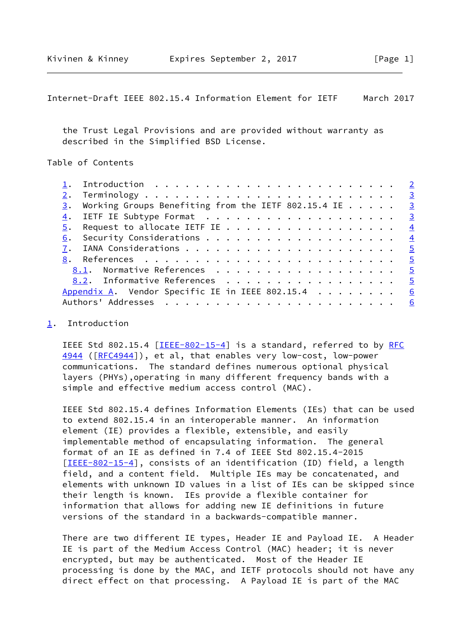<span id="page-1-1"></span>Internet-Draft IEEE 802.15.4 Information Element for IETF March 2017

 the Trust Legal Provisions and are provided without warranty as described in the Simplified BSD License.

Table of Contents

|    | $\frac{3}{2}$ . Working Groups Benefiting from the IETF 802.15.4 IE 3 |  |  |  |  |  |
|----|-----------------------------------------------------------------------|--|--|--|--|--|
|    |                                                                       |  |  |  |  |  |
|    |                                                                       |  |  |  |  |  |
| 6. |                                                                       |  |  |  |  |  |
|    |                                                                       |  |  |  |  |  |
|    |                                                                       |  |  |  |  |  |
|    | 8.1. Normative References 5                                           |  |  |  |  |  |
|    | 8.2. Informative References 5                                         |  |  |  |  |  |
|    | Appendix A. Vendor Specific IE in IEEE 802.15.4 $\ldots \ldots$       |  |  |  |  |  |
|    |                                                                       |  |  |  |  |  |
|    |                                                                       |  |  |  |  |  |

## <span id="page-1-0"></span>[1](#page-1-0). Introduction

IEEE Std 802.15.4  $[IEEE-802-15-4]$  $[IEEE-802-15-4]$  is a standard, referred to by [RFC](https://datatracker.ietf.org/doc/pdf/rfc4944) [4944](https://datatracker.ietf.org/doc/pdf/rfc4944) ([[RFC4944](https://datatracker.ietf.org/doc/pdf/rfc4944)]), et al, that enables very low-cost, low-power communications. The standard defines numerous optional physical layers (PHYs),operating in many different frequency bands with a simple and effective medium access control (MAC).

 IEEE Std 802.15.4 defines Information Elements (IEs) that can be used to extend 802.15.4 in an interoperable manner. An information element (IE) provides a flexible, extensible, and easily implementable method of encapsulating information. The general format of an IE as defined in 7.4 of IEEE Std 802.15.4-2015 [\[IEEE-802-15-4](#page-5-3)], consists of an identification (ID) field, a length field, and a content field. Multiple IEs may be concatenated, and elements with unknown ID values in a list of IEs can be skipped since their length is known. IEs provide a flexible container for information that allows for adding new IE definitions in future versions of the standard in a backwards-compatible manner.

 There are two different IE types, Header IE and Payload IE. A Header IE is part of the Medium Access Control (MAC) header; it is never encrypted, but may be authenticated. Most of the Header IE processing is done by the MAC, and IETF protocols should not have any direct effect on that processing. A Payload IE is part of the MAC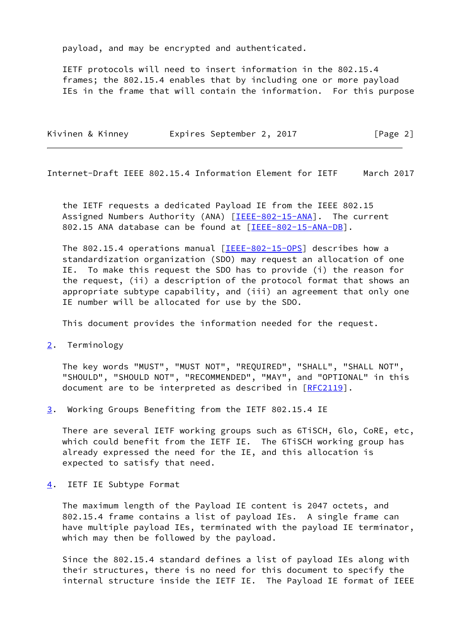payload, and may be encrypted and authenticated.

 IETF protocols will need to insert information in the 802.15.4 frames; the 802.15.4 enables that by including one or more payload IEs in the frame that will contain the information. For this purpose

| Kivinen & Kinney | Expires September 2, 2017 |  | [Page 2] |
|------------------|---------------------------|--|----------|
|------------------|---------------------------|--|----------|

<span id="page-2-2"></span>Internet-Draft IEEE 802.15.4 Information Element for IETF March 2017

 the IETF requests a dedicated Payload IE from the IEEE 802.15 Assigned Numbers Authority (ANA) [\[IEEE-802-15-ANA](#page-5-4)]. The current 802.15 ANA database can be found at [\[IEEE-802-15-ANA-DB\]](#page-5-5).

 The 802.15.4 operations manual [\[IEEE-802-15-OPS](#page-5-6)] describes how a standardization organization (SDO) may request an allocation of one IE. To make this request the SDO has to provide (i) the reason for the request, (ii) a description of the protocol format that shows an appropriate subtype capability, and (iii) an agreement that only one IE number will be allocated for use by the SDO.

This document provides the information needed for the request.

<span id="page-2-1"></span>[2](#page-2-1). Terminology

 The key words "MUST", "MUST NOT", "REQUIRED", "SHALL", "SHALL NOT", "SHOULD", "SHOULD NOT", "RECOMMENDED", "MAY", and "OPTIONAL" in this document are to be interpreted as described in [\[RFC2119](https://datatracker.ietf.org/doc/pdf/rfc2119)].

<span id="page-2-3"></span>[3](#page-2-3). Working Groups Benefiting from the IETF 802.15.4 IE

 There are several IETF working groups such as 6TiSCH, 6lo, CoRE, etc, which could benefit from the IETF IE. The 6TiSCH working group has already expressed the need for the IE, and this allocation is expected to satisfy that need.

<span id="page-2-0"></span>[4](#page-2-0). IETF IE Subtype Format

 The maximum length of the Payload IE content is 2047 octets, and 802.15.4 frame contains a list of payload IEs. A single frame can have multiple payload IEs, terminated with the payload IE terminator, which may then be followed by the payload.

 Since the 802.15.4 standard defines a list of payload IEs along with their structures, there is no need for this document to specify the internal structure inside the IETF IE. The Payload IE format of IEEE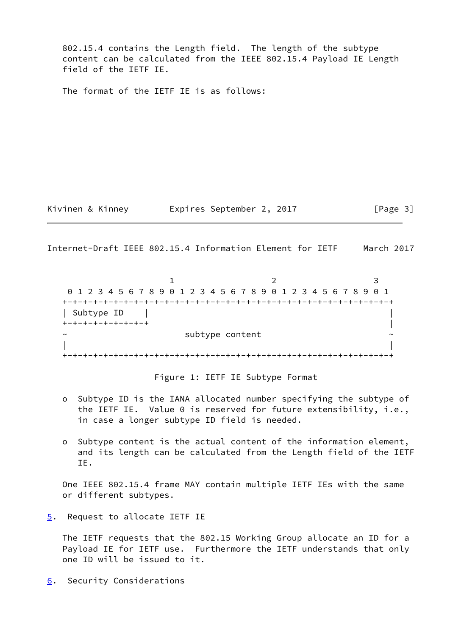802.15.4 contains the Length field. The length of the subtype content can be calculated from the IEEE 802.15.4 Payload IE Length field of the IETF IE.

The format of the IETF IE is as follows:

Kivinen & Kinney **Expires September 2, 2017** [Page 3]

<span id="page-3-1"></span>Internet-Draft IEEE 802.15.4 Information Element for IETF March 2017

1 2 3 0 1 2 3 4 5 6 7 8 9 0 1 2 3 4 5 6 7 8 9 0 1 2 3 4 5 6 7 8 9 0 1 +-+-+-+-+-+-+-+-+-+-+-+-+-+-+-+-+-+-+-+-+-+-+-+-+-+-+-+-+-+-+-+-+ | Subtype ID | | +-+-+-+-+-+-+-+-+ | subtype content | | +-+-+-+-+-+-+-+-+-+-+-+-+-+-+-+-+-+-+-+-+-+-+-+-+-+-+-+-+-+-+-+-+

Figure 1: IETF IE Subtype Format

- o Subtype ID is the IANA allocated number specifying the subtype of the IETF IE. Value 0 is reserved for future extensibility, i.e., in case a longer subtype ID field is needed.
- o Subtype content is the actual content of the information element, and its length can be calculated from the Length field of the IETF IE.

 One IEEE 802.15.4 frame MAY contain multiple IETF IEs with the same or different subtypes.

<span id="page-3-0"></span>[5](#page-3-0). Request to allocate IETF IE

 The IETF requests that the 802.15 Working Group allocate an ID for a Payload IE for IETF use. Furthermore the IETF understands that only one ID will be issued to it.

<span id="page-3-2"></span>[6](#page-3-2). Security Considerations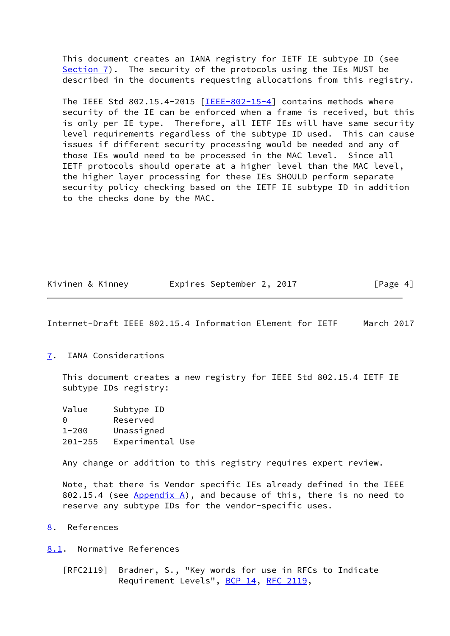This document creates an IANA registry for IETF IE subtype ID (see [Section 7](#page-4-0)). The security of the protocols using the IEs MUST be described in the documents requesting allocations from this registry.

 The IEEE Std 802.15.4-2015 [[IEEE-802-15-4\]](#page-5-3) contains methods where security of the IE can be enforced when a frame is received, but this is only per IE type. Therefore, all IETF IEs will have same security level requirements regardless of the subtype ID used. This can cause issues if different security processing would be needed and any of those IEs would need to be processed in the MAC level. Since all IETF protocols should operate at a higher level than the MAC level, the higher layer processing for these IEs SHOULD perform separate security policy checking based on the IETF IE subtype ID in addition to the checks done by the MAC.

| Kivinen & Kinney | Expires September 2, 2017 | [Page 4] |
|------------------|---------------------------|----------|
|------------------|---------------------------|----------|

<span id="page-4-1"></span>Internet-Draft IEEE 802.15.4 Information Element for IETF March 2017

<span id="page-4-0"></span>[7](#page-4-0). IANA Considerations

 This document creates a new registry for IEEE Std 802.15.4 IETF IE subtype IDs registry:

| Value       | Subtype ID       |
|-------------|------------------|
| ∩           | Reserved         |
| $1 - 200$   | Unassigned       |
| $201 - 255$ | Experimental Use |

Any change or addition to this registry requires expert review.

 Note, that there is Vendor specific IEs already defined in the IEEE 802.15.4 (see  $Appendix A)$ , and because of this, there is no need to reserve any subtype IDs for the vendor-specific uses.

<span id="page-4-2"></span>[8](#page-4-2). References

<span id="page-4-3"></span>[8.1](#page-4-3). Normative References

 [RFC2119] Bradner, S., "Key words for use in RFCs to Indicate Requirement Levels", [BCP 14](https://datatracker.ietf.org/doc/pdf/bcp14), [RFC 2119](https://datatracker.ietf.org/doc/pdf/rfc2119),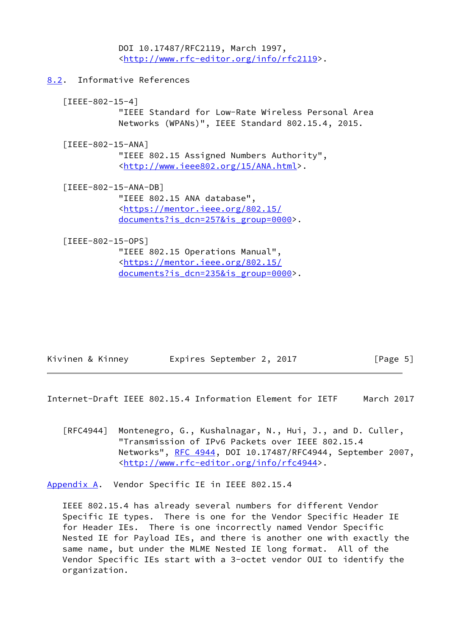DOI 10.17487/RFC2119, March 1997, <<http://www.rfc-editor.org/info/rfc2119>>.

<span id="page-5-0"></span>[8.2](#page-5-0). Informative References

<span id="page-5-3"></span> [IEEE-802-15-4] "IEEE Standard for Low-Rate Wireless Personal Area Networks (WPANs)", IEEE Standard 802.15.4, 2015.

<span id="page-5-4"></span> [IEEE-802-15-ANA] "IEEE 802.15 Assigned Numbers Authority", <[http://www.ieee802.org/15/ANA.html>](http://www.ieee802.org/15/ANA.html).

<span id="page-5-5"></span> [IEEE-802-15-ANA-DB] "IEEE 802.15 ANA database", <[https://mentor.ieee.org/802.15/](https://mentor.ieee.org/802.15/documents?is_dcn=257&is_group=0000) [documents?is\\_dcn=257&is\\_group=0000>](https://mentor.ieee.org/802.15/documents?is_dcn=257&is_group=0000).

<span id="page-5-6"></span>[IEEE-802-15-OPS]

 "IEEE 802.15 Operations Manual", <[https://mentor.ieee.org/802.15/](https://mentor.ieee.org/802.15/documents?is_dcn=235&is_group=0000) [documents?is\\_dcn=235&is\\_group=0000>](https://mentor.ieee.org/802.15/documents?is_dcn=235&is_group=0000).

| Kivinen & Kinney | Expires September 2, 2017 |  | [Page 5] |
|------------------|---------------------------|--|----------|
|------------------|---------------------------|--|----------|

<span id="page-5-2"></span>Internet-Draft IEEE 802.15.4 Information Element for IETF March 2017

[RFC4944] Montenegro, G., Kushalnagar, N., Hui, J., and D. Culler, "Transmission of IPv6 Packets over IEEE 802.15.4 Networks", [RFC 4944](https://datatracker.ietf.org/doc/pdf/rfc4944), DOI 10.17487/RFC4944, September 2007, <<http://www.rfc-editor.org/info/rfc4944>>.

<span id="page-5-1"></span>[Appendix A.](#page-5-1) Vendor Specific IE in IEEE 802.15.4

 IEEE 802.15.4 has already several numbers for different Vendor Specific IE types. There is one for the Vendor Specific Header IE for Header IEs. There is one incorrectly named Vendor Specific Nested IE for Payload IEs, and there is another one with exactly the same name, but under the MLME Nested IE long format. All of the Vendor Specific IEs start with a 3-octet vendor OUI to identify the organization.